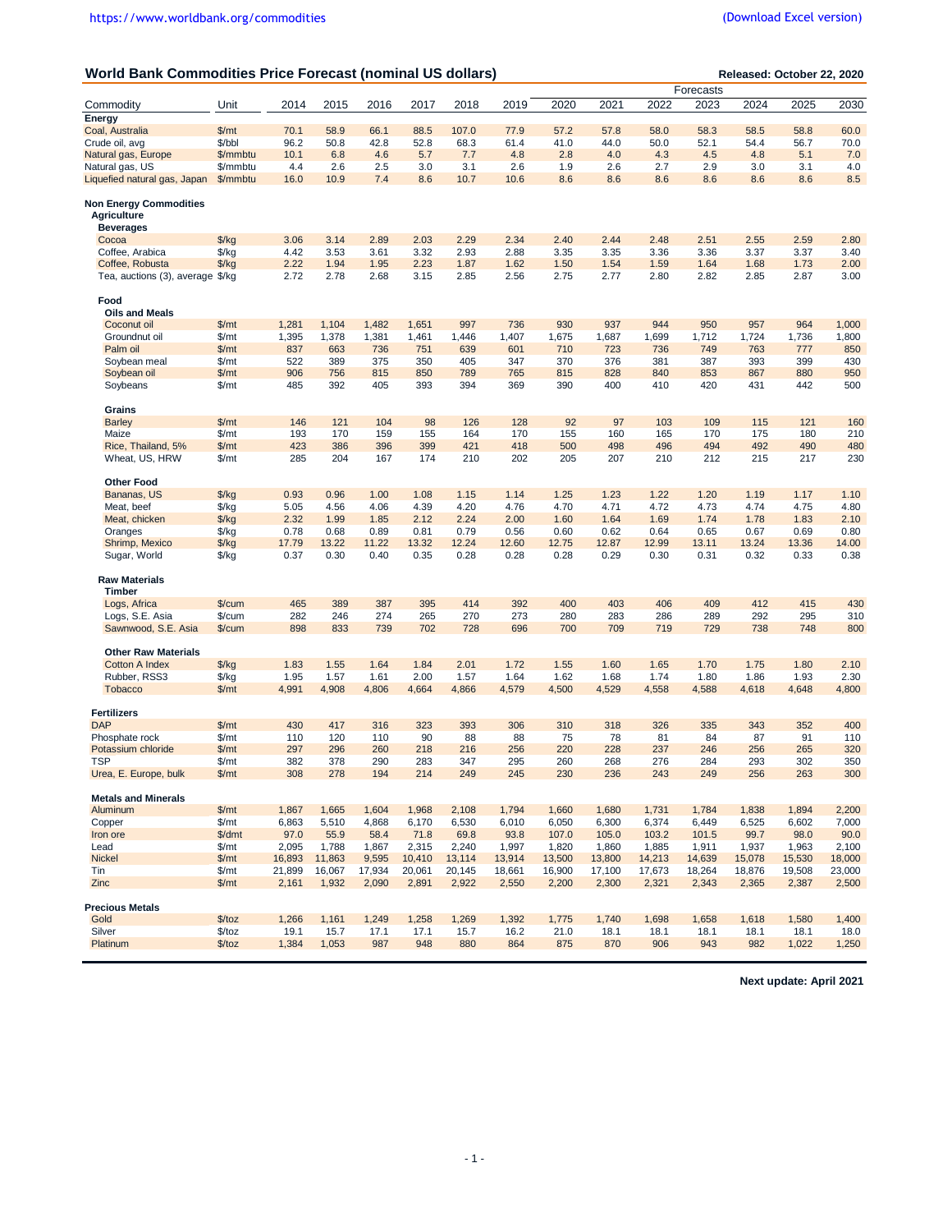| World Bank Commodities Price Forecast (nominal US dollars) |                                |               |               |               |               |               |               |               |               |               |               | Released: October 22, 2020 |               |               |
|------------------------------------------------------------|--------------------------------|---------------|---------------|---------------|---------------|---------------|---------------|---------------|---------------|---------------|---------------|----------------------------|---------------|---------------|
|                                                            |                                |               |               |               |               |               |               |               |               |               | Forecasts     |                            |               |               |
| Commodity                                                  | Unit                           | 2014          | 2015          | 2016          | 2017          | 2018          | 2019          | 2020          | 2021          | 2022          | 2023          | 2024                       | 2025          | 2030          |
| Energy                                                     |                                |               |               |               |               |               |               |               |               |               |               |                            |               |               |
| Coal, Australia                                            | \$/mt                          | 70.1          | 58.9          | 66.1          | 88.5          | 107.0         | 77.9          | 57.2          | 57.8          | 58.0          | 58.3          | 58.5                       | 58.8          | 60.0          |
| Crude oil, avg                                             | \$/bbl                         | 96.2          | 50.8          | 42.8          | 52.8          | 68.3          | 61.4          | 41.0          | 44.0          | 50.0          | 52.1          | 54.4                       | 56.7          | 70.0          |
| Natural gas, Europe                                        | \$/mmbtu                       | 10.1          | 6.8           | 4.6           | 5.7           | 7.7           | 4.8           | 2.8           | 4.0           | 4.3           | 4.5           | 4.8                        | 5.1           | 7.0           |
| Natural gas, US<br>Liquefied natural gas, Japan            | \$/mmbtu                       | 4.4           | 2.6           | 2.5           | 3.0           | 3.1           | 2.6           | 1.9           | 2.6           | 2.7           | 2.9           | 3.0                        | 3.1           | 4.0           |
|                                                            | \$/mmbtu                       | 16.0          | 10.9          | 7.4           | 8.6           | 10.7          | 10.6          | 8.6           | 8.6           | 8.6           | 8.6           | 8.6                        | 8.6           | 8.5           |
| <b>Non Energy Commodities</b>                              |                                |               |               |               |               |               |               |               |               |               |               |                            |               |               |
| <b>Agriculture</b>                                         |                                |               |               |               |               |               |               |               |               |               |               |                            |               |               |
| Beverages                                                  |                                |               |               |               |               |               |               |               |               |               |               |                            |               |               |
| Cocoa                                                      | $\frac{f}{g}$                  | 3.06          | 3.14          | 2.89          | 2.03          | 2.29          | 2.34          | 2.40          | 2.44          | 2.48          | 2.51          | 2.55                       | 2.59          | 2.80          |
| Coffee, Arabica                                            | $\frac{f}{g}$                  | 4.42          | 3.53          | 3.61          | 3.32          | 2.93          | 2.88          | 3.35          | 3.35          | 3.36          | 3.36          | 3.37                       | 3.37          | 3.40          |
| Coffee, Robusta                                            | $\frac{f}{f}$                  | 2.22          | 1.94          | 1.95          | 2.23          | 1.87          | 1.62          | 1.50          | 1.54          | 1.59          | 1.64          | 1.68                       | 1.73          | 2.00          |
| Tea, auctions (3), average \$/kg                           |                                | 2.72          | 2.78          | 2.68          | 3.15          | 2.85          | 2.56          | 2.75          | 2.77          | 2.80          | 2.82          | 2.85                       | 2.87          | 3.00          |
|                                                            |                                |               |               |               |               |               |               |               |               |               |               |                            |               |               |
| Food                                                       |                                |               |               |               |               |               |               |               |               |               |               |                            |               |               |
| <b>Oils and Meals</b>                                      |                                |               |               |               |               |               |               |               |               |               |               |                            |               |               |
| Coconut oil                                                | \$/mt                          | 1,281         | 1,104         | 1,482         | 1,651         | 997           | 736           | 930           | 937           | 944           | 950           | 957                        | 964           | 1,000         |
| Groundnut oil                                              | \$/mt                          | 1,395         | 1,378         | 1,381         | 1,461         | 1,446         | 1,407         | 1,675         | 1,687         | 1,699         | 1,712         | 1,724                      | 1,736         | 1,800         |
| Palm oil<br>Soybean meal                                   | \$/mt<br>\$/mt                 | 837<br>522    | 663<br>389    | 736<br>375    | 751<br>350    | 639<br>405    | 601<br>347    | 710<br>370    | 723<br>376    | 736<br>381    | 749<br>387    | 763<br>393                 | 777<br>399    | 850<br>430    |
| Soybean oil                                                | \$/mt                          | 906           | 756           | 815           | 850           | 789           | 765           | 815           | 828           | 840           | 853           | 867                        | 880           | 950           |
| Soybeans                                                   | \$/mt                          | 485           | 392           | 405           | 393           | 394           | 369           | 390           | 400           | 410           | 420           | 431                        | 442           | 500           |
|                                                            |                                |               |               |               |               |               |               |               |               |               |               |                            |               |               |
| Grains                                                     |                                |               |               |               |               |               |               |               |               |               |               |                            |               |               |
| <b>Barley</b>                                              | \$/mt                          | 146           | 121           | 104           | 98            | 126           | 128           | 92            | 97            | 103           | 109           | 115                        | 121           | 160           |
| Maize                                                      | \$/mt                          | 193           | 170           | 159           | 155           | 164           | 170           | 155           | 160           | 165           | 170           | 175                        | 180           | 210           |
| Rice, Thailand, 5%                                         | \$/mt                          | 423           | 386           | 396           | 399           | 421           | 418           | 500           | 498           | 496           | 494           | 492                        | 490           | 480           |
| Wheat, US, HRW                                             | \$/mt                          | 285           | 204           | 167           | 174           | 210           | 202           | 205           | 207           | 210           | 212           | 215                        | 217           | 230           |
|                                                            |                                |               |               |               |               |               |               |               |               |               |               |                            |               |               |
| <b>Other Food</b>                                          |                                |               |               |               |               |               |               |               |               |               |               |                            |               |               |
| Bananas, US                                                | $\frac{f}{g}$                  | 0.93          | 0.96          | 1.00          | 1.08          | 1.15          | 1.14          | 1.25          | 1.23          | 1.22          | 1.20          | 1.19                       | 1.17          | 1.10          |
| Meat, beef                                                 | $\frac{f}{g}$                  | 5.05          | 4.56          | 4.06          | 4.39          | 4.20          | 4.76          | 4.70          | 4.71          | 4.72          | 4.73          | 4.74                       | 4.75          | 4.80          |
| Meat, chicken                                              | $\frac{f}{g}$                  | 2.32          | 1.99          | 1.85          | 2.12          | 2.24          | 2.00          | 1.60          | 1.64          | 1.69          | 1.74          | 1.78                       | 1.83          | 2.10          |
| Oranges                                                    | $\frac{f}{g}$                  | 0.78          | 0.68          | 0.89          | 0.81          | 0.79          | 0.56          | 0.60          | 0.62          | 0.64          | 0.65          | 0.67                       | 0.69          | 0.80          |
| Shrimp, Mexico<br>Sugar, World                             | $\frac{f}{g}$<br>$\frac{f}{g}$ | 17.79<br>0.37 | 13.22<br>0.30 | 11.22<br>0.40 | 13.32<br>0.35 | 12.24<br>0.28 | 12.60<br>0.28 | 12.75<br>0.28 | 12.87<br>0.29 | 12.99<br>0.30 | 13.11<br>0.31 | 13.24<br>0.32              | 13.36<br>0.33 | 14.00<br>0.38 |
|                                                            |                                |               |               |               |               |               |               |               |               |               |               |                            |               |               |
| <b>Raw Materials</b>                                       |                                |               |               |               |               |               |               |               |               |               |               |                            |               |               |
| <b>Timber</b>                                              |                                |               |               |               |               |               |               |               |               |               |               |                            |               |               |
| Logs, Africa                                               | $%$ /cum                       | 465           | 389           | 387           | 395           | 414           | 392           | 400           | 403           | 406           | 409           | 412                        | 415           | 430           |
| Logs, S.E. Asia                                            | $%$ /cum                       | 282           | 246           | 274           | 265           | 270           | 273           | 280           | 283           | 286           | 289           | 292                        | 295           | 310           |
| Sawnwood, S.E. Asia                                        | $%$ /cum                       | 898           | 833           | 739           | 702           | 728           | 696           | 700           | 709           | 719           | 729           | 738                        | 748           | 800           |
|                                                            |                                |               |               |               |               |               |               |               |               |               |               |                            |               |               |
| <b>Other Raw Materials</b>                                 |                                |               |               |               |               |               |               |               |               |               |               |                            |               |               |
| <b>Cotton A Index</b>                                      | $\frac{f}{g}$                  | 1.83          | 1.55          | 1.64          | 1.84          | 2.01          | 1.72          | 1.55          | 1.60          | 1.65          | 1.70          | 1.75                       | 1.80          | 2.10          |
| Rubber, RSS3                                               | $\frac{f}{g}$                  | 1.95          | 1.57          | 1.61          | 2.00          | 1.57          | 1.64          | 1.62          | 1.68          | 1.74          | 1.80          | 1.86                       | 1.93          | 2.30          |
| <b>Tobacco</b>                                             | \$/mt                          | 4,991         | 4,908         | 4,806         | 4,664         | 4,866         | 4,579         | 4,500         | 4,529         | 4,558         | 4,588         | 4,618                      | 4,648         | 4,800         |
| <b>Fertilizers</b>                                         |                                |               |               |               |               |               |               |               |               |               |               |                            |               |               |
| <b>DAP</b>                                                 | \$/mt                          | 430           | 417           | 316           | 323           | 393           | 306           | 310           | 318           | 326           | 335           | 343                        | 352           | 400           |
| Phosphate rock                                             | \$/mt                          | 110           | 120           | 110           | 90            | 88            | 88            | 75            | 78            | 81            | 84            | 87                         | 91            | 110           |
| Potassium chloride                                         | \$/mt                          | 297           | 296           | 260           | 218           | 216           | 256           | 220           | 228           | 237           | 246           | 256                        | 265           | 320           |
| <b>TSP</b>                                                 | \$/mt                          | 382           | 378           | 290           | 283           | 347           | 295           | 260           | 268           | 276           | 284           | 293                        | 302           | 350           |
| Urea, E. Europe, bulk                                      | \$/mt                          | 308           | 278           | 194           | 214           | 249           | 245           | 230           | 236           | 243           | 249           | 256                        | 263           | 300           |
|                                                            |                                |               |               |               |               |               |               |               |               |               |               |                            |               |               |
| <b>Metals and Minerals</b>                                 |                                |               |               |               |               |               |               |               |               |               |               |                            |               |               |
| Aluminum                                                   | \$/mt                          | 1,867         | 1,665         | 1,604         | 1,968         | 2,108         | 1,794         | 1,660         | 1,680         | 1,731         | 1,784         | 1,838                      | 1,894         | 2,200         |
| Copper                                                     | \$/mt                          | 6,863         | 5,510         | 4,868         | 6,170         | 6,530         | 6,010         | 6,050         | 6,300         | 6,374         | 6,449         | 6,525                      | 6,602         | 7,000         |
| Iron ore                                                   | \$/dmt                         | 97.0          | 55.9          | 58.4          | 71.8          | 69.8          | 93.8          | 107.0         | 105.0         | 103.2         | 101.5         | 99.7                       | 98.0          | 90.0          |
| Lead                                                       | $\frac{m}{2}$                  | 2,095         | 1,788         | 1,867         | 2,315         | 2,240         | 1,997         | 1,820         | 1,860         | 1,885         | 1,911         | 1,937                      | 1,963         | 2,100         |
| Nickel                                                     | \$/mt                          | 16,893        | 11,863        | 9,595         | 10,410        | 13,114        | 13,914        | 13,500        | 13,800        | 14,213        | 14,639        | 15,078                     | 15,530        | 18,000        |
| Tin                                                        | \$/mt                          | 21,899        | 16,067        | 17,934        | 20,061        | 20,145        | 18,661        | 16,900        | 17,100        | 17,673        | 18,264        | 18,876                     | 19,508        | 23,000        |
| Zinc                                                       | \$/mt                          | 2,161         | 1,932         | 2,090         | 2,891         | 2,922         | 2,550         | 2,200         | 2,300         | 2,321         | 2,343         | 2,365                      | 2,387         | 2,500         |
| <b>Precious Metals</b>                                     |                                |               |               |               |               |               |               |               |               |               |               |                            |               |               |
| Gold                                                       | \$/toz                         | 1,266         | 1,161         | 1,249         | 1,258         | 1,269         | 1,392         | 1,775         | 1,740         | 1,698         | 1,658         | 1,618                      | 1,580         | 1,400         |
| Silver                                                     | $\frac{f}{f}$                  | 19.1          | 15.7          | 17.1          | 17.1          | 15.7          | 16.2          | 21.0          | 18.1          | 18.1          | 18.1          | 18.1                       | 18.1          | 18.0          |
| Platinum                                                   | \$/toz                         | 1,384         | 1,053         | 987           | 948           | 880           | 864           | 875           | 870           | 906           | 943           | 982                        | 1,022         | 1,250         |
|                                                            |                                |               |               |               |               |               |               |               |               |               |               |                            |               |               |

**Next update: April 2021**

## - 1 -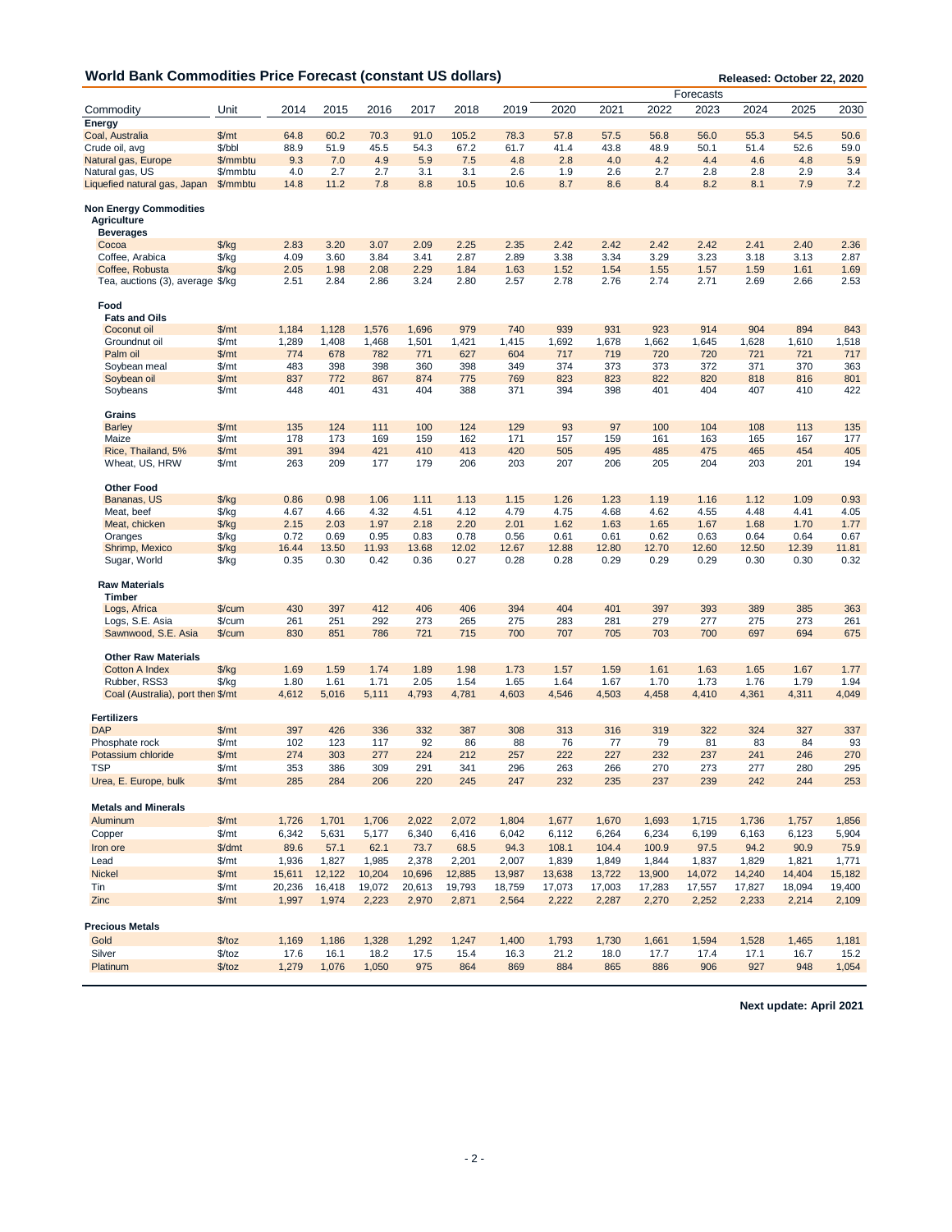|                                                     |               |        |        |        |        |        |        |        |        | Forecasts |        |        |        |        |
|-----------------------------------------------------|---------------|--------|--------|--------|--------|--------|--------|--------|--------|-----------|--------|--------|--------|--------|
| Commodity                                           | Unit          | 2014   | 2015   | 2016   | 2017   | 2018   | 2019   | 2020   | 2021   | 2022      | 2023   | 2024   | 2025   | 2030   |
| Energy                                              |               |        |        |        |        |        |        |        |        |           |        |        |        |        |
| Coal, Australia                                     | \$/mt         | 64.8   | 60.2   | 70.3   | 91.0   | 105.2  | 78.3   | 57.8   | 57.5   | 56.8      | 56.0   | 55.3   | 54.5   | 50.6   |
| Crude oil, avg                                      | \$/bbl        | 88.9   | 51.9   | 45.5   | 54.3   | 67.2   | 61.7   | 41.4   | 43.8   | 48.9      | 50.1   | 51.4   | 52.6   | 59.0   |
| Natural gas, Europe                                 | \$/mmbtu      | 9.3    | 7.0    | 4.9    | 5.9    | 7.5    | 4.8    | 2.8    | 4.0    | 4.2       | 4.4    | 4.6    | 4.8    | 5.9    |
| Natural gas, US                                     | \$/mmbtu      | 4.0    | 2.7    | 2.7    | 3.1    | 3.1    | 2.6    | 1.9    | 2.6    | 2.7       | 2.8    | 2.8    | 2.9    | 3.4    |
| Liquefied natural gas, Japan                        | \$/mmbtu      | 14.8   | 11.2   | 7.8    | 8.8    | 10.5   | 10.6   | 8.7    | 8.6    | 8.4       | 8.2    | 8.1    | 7.9    | 7.2    |
|                                                     |               |        |        |        |        |        |        |        |        |           |        |        |        |        |
| <b>Non Energy Commodities</b><br><b>Agriculture</b> |               |        |        |        |        |        |        |        |        |           |        |        |        |        |
| <b>Beverages</b>                                    |               |        |        |        |        |        |        |        |        |           |        |        |        |        |
| Cocoa                                               | $\frac{f}{g}$ | 2.83   | 3.20   | 3.07   | 2.09   | 2.25   | 2.35   | 2.42   | 2.42   | 2.42      | 2.42   | 2.41   | 2.40   | 2.36   |
| Coffee, Arabica                                     | $\frac{f}{g}$ | 4.09   | 3.60   | 3.84   | 3.41   | 2.87   | 2.89   | 3.38   | 3.34   | 3.29      | 3.23   | 3.18   | 3.13   | 2.87   |
| Coffee. Robusta                                     | $\frac{f}{f}$ | 2.05   | 1.98   | 2.08   | 2.29   | 1.84   | 1.63   | 1.52   | 1.54   | 1.55      | 1.57   | 1.59   | 1.61   | 1.69   |
| Tea, auctions (3), average \$/kg                    |               | 2.51   | 2.84   | 2.86   | 3.24   | 2.80   | 2.57   | 2.78   | 2.76   | 2.74      | 2.71   | 2.69   | 2.66   | 2.53   |
| Food<br><b>Fats and Oils</b>                        |               |        |        |        |        |        |        |        |        |           |        |        |        |        |
| Coconut oil                                         | \$/mt         | 1,184  | 1,128  | 1,576  | 1,696  | 979    | 740    | 939    | 931    | 923       | 914    | 904    | 894    | 843    |
| Groundnut oil                                       | \$/mt         | 1,289  | 1,408  | 1,468  | 1,501  | 1,421  | 1,415  | 1,692  | 1,678  | 1,662     | 1,645  | 1,628  | 1,610  | 1,518  |
| Palm oil                                            | \$/mt         | 774    | 678    | 782    | 771    | 627    | 604    | 717    | 719    | 720       | 720    | 721    | 721    | 717    |
| Soybean meal                                        | \$/mt         | 483    | 398    | 398    | 360    | 398    | 349    | 374    | 373    | 373       | 372    | 371    | 370    | 363    |
| Soybean oil                                         | \$/mt         | 837    | 772    | 867    | 874    | 775    | 769    | 823    | 823    | 822       | 820    | 818    | 816    | 801    |
| Soybeans                                            | \$/mt         | 448    | 401    | 431    | 404    | 388    | 371    | 394    | 398    | 401       | 404    | 407    | 410    | 422    |
| Grains                                              |               |        |        |        |        |        |        |        |        |           |        |        |        |        |
|                                                     |               | 135    | 124    | 111    | 100    | 124    | 129    | 93     | 97     | 100       | 104    | 108    | 113    |        |
| <b>Barley</b>                                       | \$/mt         |        |        |        |        |        |        |        |        |           |        |        |        | 135    |
| Maize                                               | \$/mt         | 178    | 173    | 169    | 159    | 162    | 171    | 157    | 159    | 161       | 163    | 165    | 167    | 177    |
| Rice. Thailand. 5%                                  | \$/mt         | 391    | 394    | 421    | 410    | 413    | 420    | 505    | 495    | 485       | 475    | 465    | 454    | 405    |
| Wheat, US, HRW                                      | \$/mt         | 263    | 209    | 177    | 179    | 206    | 203    | 207    | 206    | 205       | 204    | 203    | 201    | 194    |
| <b>Other Food</b>                                   |               |        |        |        |        |        |        |        |        |           |        |        |        |        |
| Bananas, US                                         | $\frac{f}{g}$ | 0.86   | 0.98   | 1.06   | 1.11   | 1.13   | 1.15   | 1.26   | 1.23   | 1.19      | 1.16   | 1.12   | 1.09   | 0.93   |
| Meat, beef                                          | $\frac{f}{g}$ | 4.67   | 4.66   | 4.32   | 4.51   | 4.12   | 4.79   | 4.75   | 4.68   | 4.62      | 4.55   | 4.48   | 4.41   | 4.05   |
| Meat, chicken                                       | $\frac{f}{g}$ | 2.15   | 2.03   | 1.97   | 2.18   | 2.20   | 2.01   | 1.62   | 1.63   | 1.65      | 1.67   | 1.68   | 1.70   | 1.77   |
| Oranges                                             | \$/kg         | 0.72   | 0.69   | 0.95   | 0.83   | 0.78   | 0.56   | 0.61   | 0.61   | 0.62      | 0.63   | 0.64   | 0.64   | 0.67   |
| Shrimp, Mexico                                      | $\frac{f}{g}$ | 16.44  | 13.50  | 11.93  | 13.68  | 12.02  | 12.67  | 12.88  | 12.80  | 12.70     | 12.60  | 12.50  | 12.39  | 11.81  |
| Sugar, World                                        | $\frac{f}{g}$ | 0.35   | 0.30   | 0.42   | 0.36   | 0.27   | 0.28   | 0.28   | 0.29   | 0.29      | 0.29   | 0.30   | 0.30   | 0.32   |
| <b>Raw Materials</b><br><b>Timber</b>               |               |        |        |        |        |        |        |        |        |           |        |        |        |        |
| Logs, Africa                                        | \$/cum        | 430    | 397    | 412    | 406    | 406    | 394    | 404    | 401    | 397       | 393    | 389    | 385    | 363    |
| Logs, S.E. Asia                                     | \$/cum        | 261    | 251    | 292    | 273    | 265    | 275    | 283    | 281    | 279       | 277    | 275    | 273    | 261    |
| Sawnwood, S.E. Asia                                 | \$/cum        | 830    | 851    | 786    | 721    | 715    | 700    | 707    | 705    | 703       | 700    | 697    | 694    | 675    |
|                                                     |               |        |        |        |        |        |        |        |        |           |        |        |        |        |
| <b>Other Raw Materials</b>                          |               |        |        |        |        |        |        |        |        |           |        |        |        |        |
| <b>Cotton A Index</b>                               | $\frac{f}{g}$ | 1.69   | 1.59   | 1.74   | 1.89   | 1.98   | 1.73   | 1.57   | 1.59   | 1.61      | 1.63   | 1.65   | 1.67   | 1.77   |
| Rubber, RSS3                                        | $\frac{f}{g}$ | 1.80   | 1.61   | 1.71   | 2.05   | 1.54   | 1.65   | 1.64   | 1.67   | 1.70      | 1.73   | 1.76   | 1.79   | 1.94   |
| Coal (Australia), port then \$/mt                   |               | 4,612  | 5,016  | 5,111  | 4,793  | 4,781  | 4,603  | 4,546  | 4,503  | 4,458     | 4,410  | 4,361  | 4,311  | 4,049  |
| <b>Fertilizers</b>                                  |               |        |        |        |        |        |        |        |        |           |        |        |        |        |
| <b>DAP</b>                                          | \$/mt         | 397    | 426    | 336    | 332    | 387    | 308    | 313    | 316    | 319       | 322    | 324    | 327    | 337    |
| Phosphate rock                                      | \$/mt         | 102    | 123    | 117    | 92     | 86     | 88     | 76     | 77     | 79        | 81     | 83     | 84     | 93     |
| Potassium chloride                                  | \$/mt         | 274    | 303    | 277    | 224    | 212    | 257    | 222    | 227    | 232       | 237    | 241    | 246    | 270    |
| <b>TSP</b>                                          | $\frac{m}{2}$ | 353    | 386    | 309    | 291    | 341    | 296    | 263    | 266    | 270       | 273    | 277    | 280    | 295    |
| Urea, E. Europe, bulk                               | \$/mt         | 285    | 284    | 206    | 220    | 245    | 247    | 232    | 235    | 237       | 239    | 242    | 244    | 253    |
| <b>Metals and Minerals</b>                          |               |        |        |        |        |        |        |        |        |           |        |        |        |        |
| Aluminum                                            | \$/mt         | 1,726  | 1,701  | 1,706  | 2,022  | 2,072  | 1,804  | 1,677  | 1,670  | 1,693     | 1,715  | 1,736  | 1,757  | 1,856  |
| Copper                                              | \$/mt         | 6,342  | 5,631  | 5,177  | 6,340  | 6,416  | 6,042  | 6,112  | 6,264  | 6,234     | 6,199  | 6,163  | 6,123  | 5,904  |
|                                                     |               |        |        |        |        |        |        |        |        |           |        |        |        |        |
| Iron ore                                            | \$/dmt        | 89.6   | 57.1   | 62.1   | 73.7   | 68.5   | 94.3   | 108.1  | 104.4  | 100.9     | 97.5   | 94.2   | 90.9   | 75.9   |
| Lead                                                | \$/mt         | 1,936  | 1,827  | 1,985  | 2,378  | 2,201  | 2,007  | 1,839  | 1,849  | 1,844     | 1,837  | 1,829  | 1,821  | 1,771  |
| <b>Nickel</b>                                       | \$/mt         | 15,611 | 12,122 | 10,204 | 10,696 | 12,885 | 13,987 | 13,638 | 13,722 | 13,900    | 14,072 | 14,240 | 14,404 | 15,182 |
| Tin                                                 | \$/mt         | 20,236 | 16,418 | 19,072 | 20,613 | 19,793 | 18,759 | 17,073 | 17,003 | 17,283    | 17,557 | 17,827 | 18,094 | 19,400 |
| Zinc                                                | \$/mt         | 1,997  | 1,974  | 2,223  | 2,970  | 2,871  | 2,564  | 2,222  | 2,287  | 2,270     | 2,252  | 2,233  | 2,214  | 2,109  |
| <b>Precious Metals</b>                              |               |        |        |        |        |        |        |        |        |           |        |        |        |        |
| Gold                                                | \$/toz        | 1,169  | 1,186  | 1,328  | 1,292  | 1,247  | 1,400  | 1,793  | 1,730  | 1,661     | 1,594  | 1,528  | 1,465  | 1,181  |
| Silver                                              | \$/toz        | 17.6   | 16.1   | 18.2   | 17.5   | 15.4   | 16.3   | 21.2   | 18.0   | 17.7      | 17.4   | 17.1   | 16.7   | 15.2   |
| Platinum                                            | \$/toz        | 1,279  | 1,076  | 1,050  | 975    | 864    | 869    | 884    | 865    | 886       | 906    | 927    | 948    | 1,054  |
|                                                     |               |        |        |        |        |        |        |        |        |           |        |        |        |        |

**Next update: April 2021**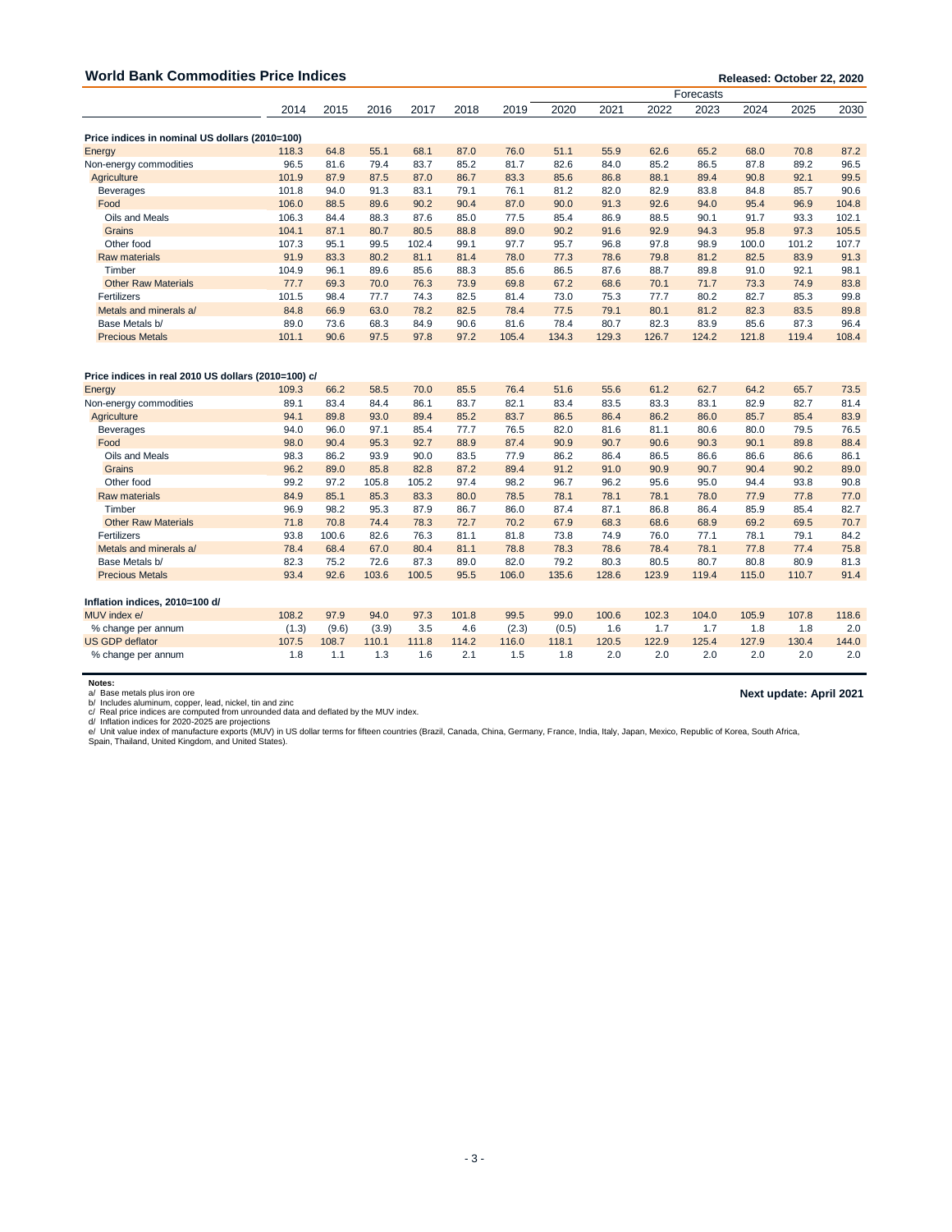| <b>World Bank Commodities Price Indices</b>                   | Released: October 22, 2020 |       |       |       |       |       |           |       |       |       |       |       |         |
|---------------------------------------------------------------|----------------------------|-------|-------|-------|-------|-------|-----------|-------|-------|-------|-------|-------|---------|
|                                                               |                            |       |       |       |       |       | Forecasts |       |       |       |       |       |         |
|                                                               | 2014                       | 2015  | 2016  | 2017  | 2018  | 2019  | 2020      | 2021  | 2022  | 2023  | 2024  | 2025  | 2030    |
| Price indices in nominal US dollars (2010=100)                |                            |       |       |       |       |       |           |       |       |       |       |       |         |
| Energy                                                        | 118.3                      | 64.8  | 55.1  | 68.1  | 87.0  | 76.0  | 51.1      | 55.9  | 62.6  | 65.2  | 68.0  | 70.8  | 87.2    |
| Non-energy commodities                                        | 96.5                       | 81.6  | 79.4  | 83.7  | 85.2  | 81.7  | 82.6      | 84.0  | 85.2  | 86.5  | 87.8  | 89.2  | 96.5    |
| Agriculture                                                   | 101.9                      | 87.9  | 87.5  | 87.0  | 86.7  | 83.3  | 85.6      | 86.8  | 88.1  | 89.4  | 90.8  | 92.1  | 99.5    |
| <b>Beverages</b>                                              | 101.8                      | 94.0  | 91.3  | 83.1  | 79.1  | 76.1  | 81.2      | 82.0  | 82.9  | 83.8  | 84.8  | 85.7  | 90.6    |
| Food                                                          | 106.0                      | 88.5  | 89.6  | 90.2  | 90.4  | 87.0  | 90.0      | 91.3  | 92.6  | 94.0  | 95.4  | 96.9  | 104.8   |
| Oils and Meals                                                | 106.3                      | 84.4  | 88.3  | 87.6  | 85.0  | 77.5  | 85.4      | 86.9  | 88.5  | 90.1  | 91.7  | 93.3  | 102.1   |
| Grains                                                        | 104.1                      | 87.1  | 80.7  | 80.5  | 88.8  | 89.0  | 90.2      | 91.6  | 92.9  | 94.3  | 95.8  | 97.3  | 105.5   |
| Other food                                                    | 107.3                      | 95.1  | 99.5  | 102.4 | 99.1  | 97.7  | 95.7      | 96.8  | 97.8  | 98.9  | 100.0 | 101.2 | 107.7   |
| <b>Raw materials</b>                                          | 91.9                       | 83.3  | 80.2  | 81.1  | 81.4  | 78.0  | 77.3      | 78.6  | 79.8  | 81.2  | 82.5  | 83.9  | 91.3    |
| Timber                                                        | 104.9                      | 96.1  | 89.6  | 85.6  | 88.3  | 85.6  | 86.5      | 87.6  | 88.7  | 89.8  | 91.0  | 92.1  | 98.1    |
| <b>Other Raw Materials</b>                                    | 77.7                       | 69.3  | 70.0  | 76.3  | 73.9  | 69.8  | 67.2      | 68.6  | 70.1  | 71.7  | 73.3  | 74.9  | 83.8    |
| Fertilizers                                                   | 101.5                      | 98.4  | 77.7  | 74.3  | 82.5  | 81.4  | 73.0      | 75.3  | 77.7  | 80.2  | 82.7  | 85.3  | 99.8    |
| Metals and minerals a/                                        | 84.8                       | 66.9  | 63.0  | 78.2  | 82.5  | 78.4  | 77.5      | 79.1  | 80.1  | 81.2  | 82.3  | 83.5  | 89.8    |
| Base Metals b/                                                | 89.0                       | 73.6  | 68.3  | 84.9  | 90.6  | 81.6  | 78.4      | 80.7  | 82.3  | 83.9  | 85.6  | 87.3  | 96.4    |
| <b>Precious Metals</b>                                        | 101.1                      | 90.6  | 97.5  | 97.8  | 97.2  | 105.4 | 134.3     | 129.3 | 126.7 | 124.2 | 121.8 | 119.4 | 108.4   |
| Price indices in real 2010 US dollars (2010=100) c/<br>Energy | 109.3                      | 66.2  | 58.5  | 70.0  | 85.5  | 76.4  | 51.6      | 55.6  | 61.2  | 62.7  | 64.2  | 65.7  | 73.5    |
| Non-energy commodities                                        | 89.1                       | 83.4  | 84.4  | 86.1  | 83.7  | 82.1  | 83.4      | 83.5  | 83.3  | 83.1  | 82.9  | 82.7  | 81.4    |
| Agriculture                                                   | 94.1                       | 89.8  | 93.0  | 89.4  | 85.2  | 83.7  | 86.5      | 86.4  | 86.2  | 86.0  | 85.7  | 85.4  | 83.9    |
| <b>Beverages</b>                                              | 94.0                       | 96.0  | 97.1  | 85.4  | 77.7  | 76.5  | 82.0      | 81.6  | 81.1  | 80.6  | 80.0  | 79.5  | 76.5    |
| Food                                                          | 98.0                       | 90.4  | 95.3  | 92.7  | 88.9  | 87.4  | 90.9      | 90.7  | 90.6  | 90.3  | 90.1  | 89.8  | 88.4    |
| Oils and Meals                                                | 98.3                       | 86.2  | 93.9  | 90.0  | 83.5  | 77.9  | 86.2      | 86.4  | 86.5  | 86.6  | 86.6  | 86.6  | 86.1    |
| Grains                                                        | 96.2                       | 89.0  | 85.8  | 82.8  | 87.2  | 89.4  | 91.2      | 91.0  | 90.9  | 90.7  | 90.4  | 90.2  | 89.0    |
| Other food                                                    | 99.2                       | 97.2  | 105.8 | 105.2 | 97.4  | 98.2  | 96.7      | 96.2  | 95.6  | 95.0  | 94.4  | 93.8  | 90.8    |
| <b>Raw materials</b>                                          | 84.9                       | 85.1  | 85.3  | 83.3  | 80.0  | 78.5  | 78.1      | 78.1  | 78.1  | 78.0  | 77.9  | 77.8  | 77.0    |
| Timber                                                        | 96.9                       | 98.2  | 95.3  | 87.9  | 86.7  | 86.0  | 87.4      | 87.1  | 86.8  | 86.4  | 85.9  | 85.4  | 82.7    |
| <b>Other Raw Materials</b>                                    | 71.8                       | 70.8  | 74.4  | 78.3  | 72.7  | 70.2  | 67.9      | 68.3  | 68.6  | 68.9  | 69.2  | 69.5  | 70.7    |
| Fertilizers                                                   | 93.8                       | 100.6 | 82.6  | 76.3  | 81.1  | 81.8  | 73.8      | 74.9  | 76.0  | 77.1  | 78.1  | 79.1  | 84.2    |
| Metals and minerals a/                                        | 78.4                       | 68.4  | 67.0  | 80.4  | 81.1  | 78.8  | 78.3      | 78.6  | 78.4  | 78.1  | 77.8  | 77.4  | 75.8    |
| Base Metals b/                                                | 82.3                       | 75.2  | 72.6  | 87.3  | 89.0  | 82.0  | 79.2      | 80.3  | 80.5  | 80.7  | 80.8  | 80.9  | 81.3    |
| <b>Precious Metals</b>                                        | 93.4                       | 92.6  | 103.6 | 100.5 | 95.5  | 106.0 | 135.6     | 128.6 | 123.9 | 119.4 | 115.0 | 110.7 | 91.4    |
| Inflation indices, 2010=100 d/                                |                            |       |       |       |       |       |           |       |       |       |       |       |         |
| MUV index e/                                                  | 108.2                      | 97.9  | 94.0  | 97.3  | 101.8 | 99.5  | 99.0      | 100.6 | 102.3 | 104.0 | 105.9 | 107.8 | 118.6   |
| % change per annum                                            | (1.3)                      | (9.6) | (3.9) | 3.5   | 4.6   | (2.3) | (0.5)     | 1.6   | 1.7   | 1.7   | 1.8   | 1.8   | $2.0\,$ |
| <b>US GDP deflator</b>                                        | 107.5                      | 108.7 | 110.1 | 111.8 | 114.2 | 116.0 | 118.1     | 120.5 | 122.9 | 125.4 | 127.9 | 130.4 | 144.0   |
| % change per annum                                            | 1.8                        | 1.1   | 1.3   | 1.6   | 2.1   | 1.5   | 1.8       | 2.0   | 2.0   | 2.0   | 2.0   | 2.0   | 2.0     |

**Notes:**<br>a/ Base metals plus iron ore per, lead, nickel, tin and zinc<br>b/ Includes aluminum, copper, lead, nickel, tin and zinc<br>d/ Inflation indices for 2020-2025 are projections<br>d/ Inflation indices for 2020-2025 are proj

**Next update: April 2021**